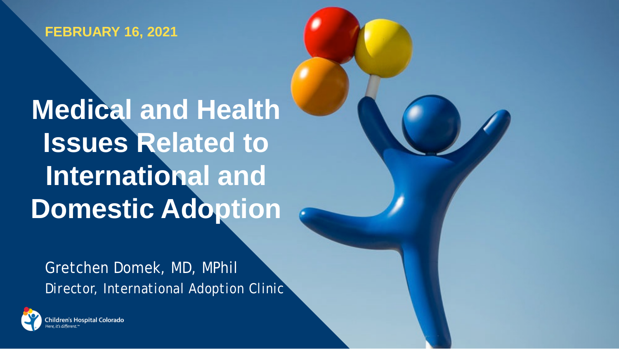#### **FEBRUARY 16, 2021**

**Medical and Health Issues Related to International and Domestic Adoption**

Gretchen Domek, MD, MPhil *Director, International Adoption Clinic*

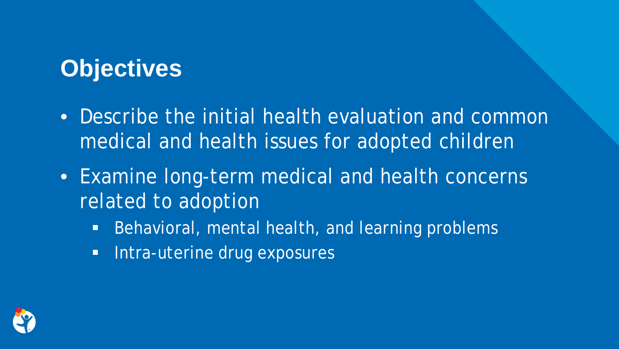#### **Objectives**

- Describe the initial health evaluation and common medical and health issues for adopted children
- Examine long-term medical and health concerns related to adoption
	- **Behavioral, mental health, and learning problems**
	- **Intra-uterine drug exposures**

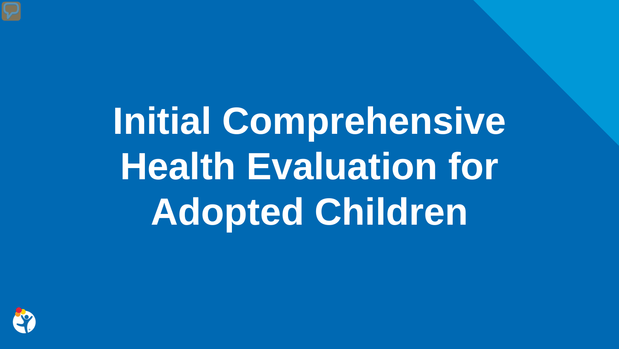**Initial Comprehensive Health Evaluation for Adopted Children**

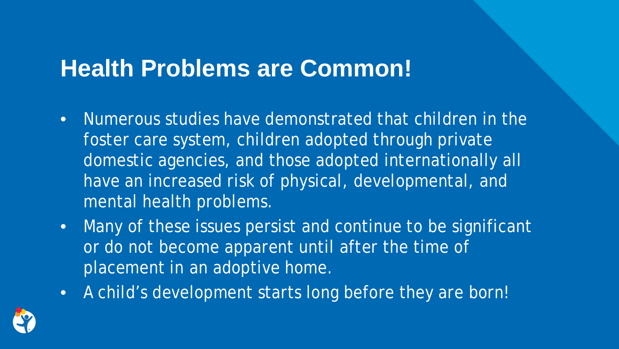#### **Health Problems are Common!**

- Numerous studies have demonstrated that children in the foster care system, children adopted through private domestic agencies, and those adopted internationally all have an increased risk of physical, developmental, and mental health problems.
- Many of these issues persist and continue to be significant or do not become apparent until after the time of placement in an adoptive home.
- A child's development starts long before they are born!

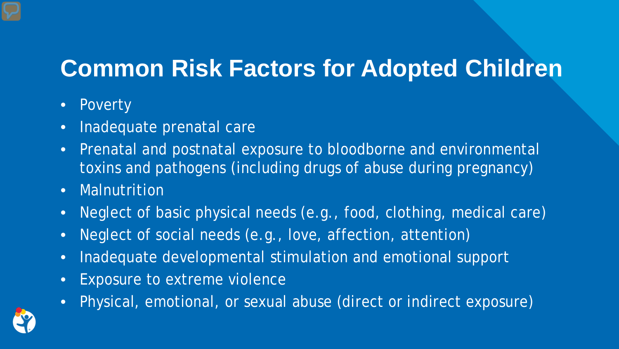#### **Common Risk Factors for Adopted Children**

#### • Poverty

- Inadequate prenatal care
- Prenatal and postnatal exposure to bloodborne and environmental toxins and pathogens (including drugs of abuse during pregnancy)
- Malnutrition
- Neglect of basic physical needs (e.g., food, clothing, medical care)
- Neglect of social needs (e.g., love, affection, attention)
- Inadequate developmental stimulation and emotional support
- Exposure to extreme violence
- Physical, emotional, or sexual abuse (direct or indirect exposure)

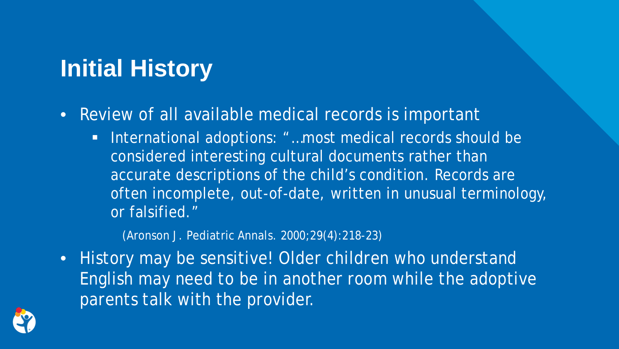#### **Initial History**

- Review of all available medical records is important
	- International adoptions: "...most medical records should be considered interesting cultural documents rather than accurate descriptions of the child's condition. Records are often incomplete, out-of-date, written in unusual terminology, or falsified."

(Aronson J. Pediatric Annals. 2000;29(4):218-23)

• History may be sensitive! Older children who understand English may need to be in another room while the adoptive parents talk with the provider.

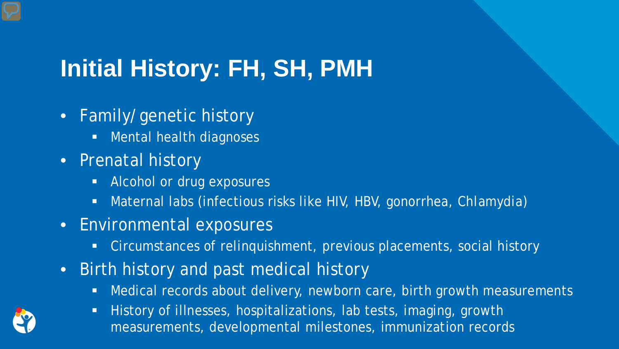# **Initial History: FH, SH, PMH**

- Family/genetic history
	- **Nental health diagnoses**
- Prenatal history
	- **Alcohol or drug exposures**
	- Maternal labs (infectious risks like HIV, HBV, gonorrhea, *Chlamydia*)
- Environmental exposures
	- Circumstances of relinquishment, previous placements, social history
- Birth history and past medical history
	- Medical records about delivery, newborn care, birth growth measurements



**History of illnesses, hospitalizations, lab tests, imaging, growth** measurements, developmental milestones, immunization records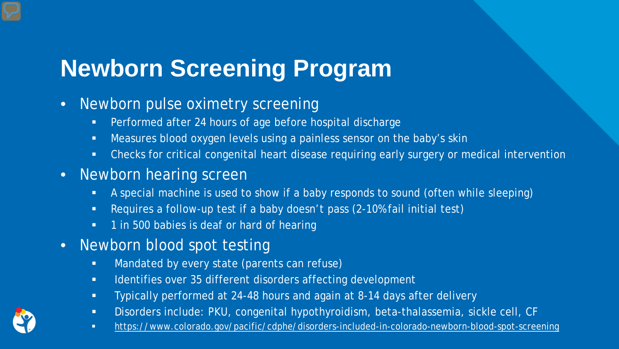# **Newborn Screening Program**

- Newborn pulse oximetry screening
	- **Performed after 24 hours of age before hospital discharge**
	- **Measures blood oxygen levels using a painless sensor on the baby's skin**
	- Checks for critical congenital heart disease requiring early surgery or medical intervention
- Newborn hearing screen
	- A special machine is used to show if a baby responds to sound (often while sleeping)
	- Requires a follow-up test if a baby doesn't pass (2-10% fail initial test)
	- **1** in 500 babies is deaf or hard of hearing
- Newborn blood spot testing
	- **Mandated by every state (parents can refuse)**
	- **IDENTIFIEM** 1dentifies over 35 different disorders affecting development
	- **Typically performed at 24-48 hours and again at 8-14 days after delivery**
	- Disorders include: PKU, congenital hypothyroidism, beta-thalassemia, sickle cell, CF
	- <https://www.colorado.gov/pacific/cdphe/disorders-included-in-colorado-newborn-blood-spot-screening>

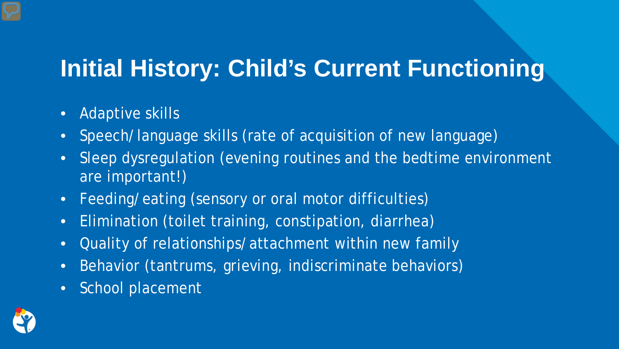## **Initial History: Child's Current Functioning**

#### • Adaptive skills

- Speech/language skills (rate of acquisition of new language)
- Sleep dysregulation (evening routines and the bedtime environment are important!)
- Feeding/eating (sensory or oral motor difficulties)
- Elimination (toilet training, constipation, diarrhea)
- Quality of relationships/attachment within new family
- Behavior (tantrums, grieving, indiscriminate behaviors)
- School placement

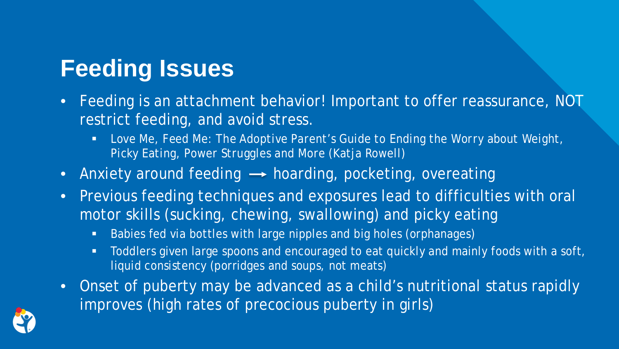## **Feeding Issues**

- Feeding is an attachment behavior! Important to offer reassurance, NOT restrict feeding, and avoid stress.
	- *Love Me, Feed Me: The Adoptive Parent's Guide to Ending the Worry about Weight, Picky Eating, Power Struggles and More* (Katja Rowell)
- Anxiety around feeding  $\rightarrow$  hoarding, pocketing, overeating
- Previous feeding techniques and exposures lead to difficulties with oral motor skills (sucking, chewing, swallowing) and picky eating
	- Babies fed via bottles with large nipples and big holes (orphanages)
	- Toddlers given large spoons and encouraged to eat quickly and mainly foods with a soft, liquid consistency (porridges and soups, not meats)
- Onset of puberty may be advanced as a child's nutritional status rapidly improves (high rates of precocious puberty in girls)

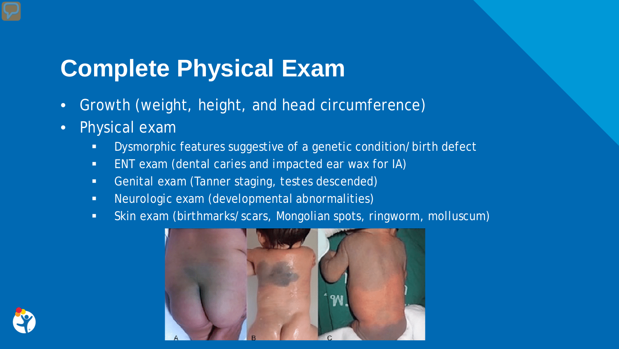# **Complete Physical Exam**

- Growth (weight, height, and head circumference)
- Physical exam
	- **Dysmorphic features suggestive of a genetic condition/birth defect**
	- ENT exam (dental caries and impacted ear wax for IA)
	- Genital exam (Tanner staging, testes descended)
	- Neurologic exam (developmental abnormalities)
	- Skin exam (birthmarks/scars, Mongolian spots, ringworm, molluscum)



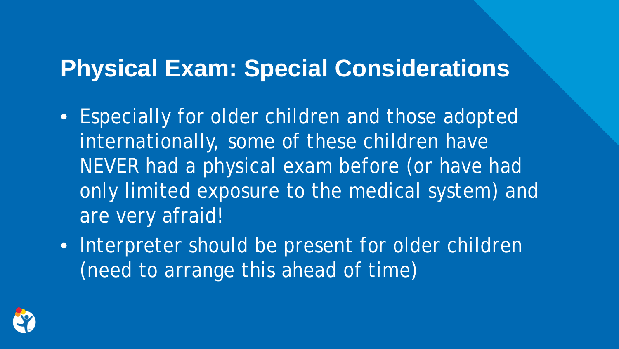#### **Physical Exam: Special Considerations**

- Especially for older children and those adopted internationally, some of these children have NEVER had a physical exam before (or have had only limited exposure to the medical system) and are very afraid!
- Interpreter should be present for older children (need to arrange this ahead of time)

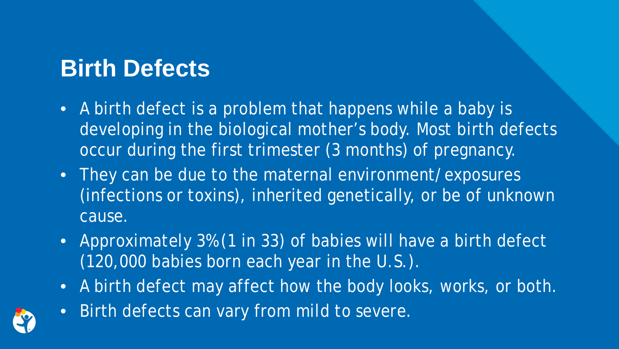#### **Birth Defects**

- A birth defect is a problem that happens while a baby is developing in the biological mother's body. Most birth defects occur during the first trimester (3 months) of pregnancy.
- They can be due to the maternal environment/exposures (infections or toxins), inherited genetically, or be of unknown cause.
- Approximately 3% (1 in 33) of babies will have a birth defect (120,000 babies born each year in the U.S.).
- A birth defect may affect how the body looks, works, or both.
- Birth defects can vary from mild to severe.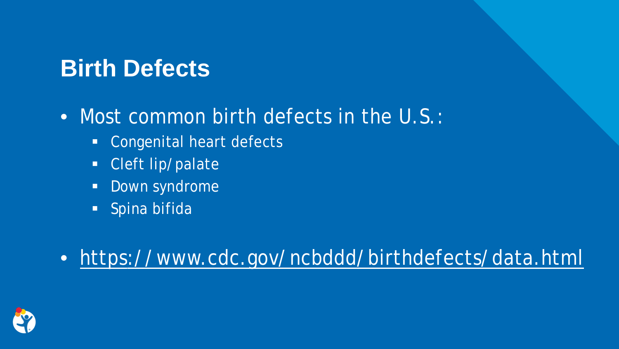#### **Birth Defects**

#### • Most common birth defects in the U.S.:

- **Congenital heart defects**
- Cleft lip/palate
- **-** Down syndrome
- **Spina bifida**

• <https://www.cdc.gov/ncbddd/birthdefects/data.html>

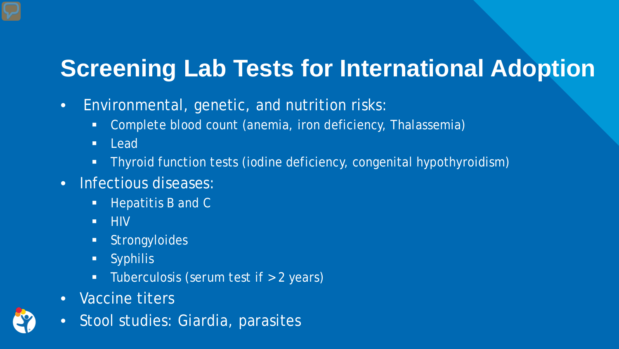## **Screening Lab Tests for International Adoption**

- Environmental, genetic, and nutrition risks:
	- Complete blood count (anemia, iron deficiency, Thalassemia)
	- **Lead**
	- **Thyroid function tests (iodine deficiency, congenital hypothyroidism)**
- Infectious diseases:
	- Hepatitis B and C
	- $HIV$
	- **Strongyloides**
	- **Syphilis**
	- **Tuberculosis (serum test if > 2 years)**
- Vaccine titers
- Stool studies: Giardia, parasites

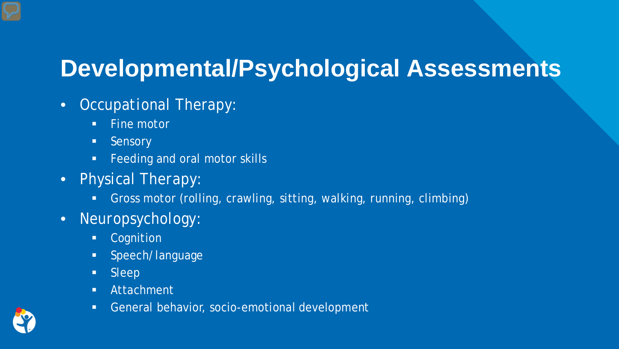#### **Developmental/Psychological Assessments**

- *Occupational Therapy*:
	- Fine motor
	- **Sensory**
	- **Feeding and oral motor skills**
- *Physical Therapy*:
	- Gross motor (rolling, crawling, sitting, walking, running, climbing)
- *Neuropsychology*:
	- **Cognition**
	- **Speech/language**
	- **Sleep**
	- **Attachment**
	- General behavior, socio-emotional development

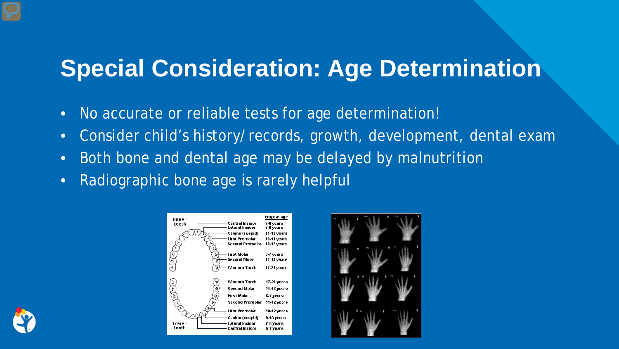#### **Special Consideration: Age Determination**

- No accurate or reliable tests for age determination!
- Consider child's history/records, growth, development, dental exam
- Both bone and dental age may be delayed by malnutrition
- Radiographic bone age is rarely helpful





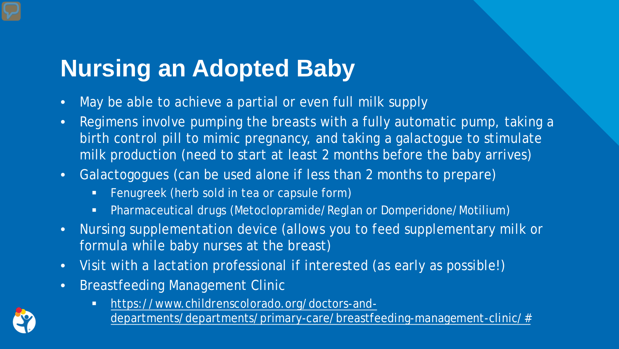# **Nursing an Adopted Baby**

- May be able to achieve a partial or even full milk supply
- Regimens involve pumping the breasts with a fully automatic pump, taking a birth control pill to mimic pregnancy, and taking a galactogue to stimulate milk production (need to start at least 2 months before the baby arrives)
- Galactogogues (can be used alone if less than 2 months to prepare)
	- **Fenugreek (herb sold in tea or capsule form)**
	- Pharmaceutical drugs (Metoclopramide/Reglan or Domperidone/Motilium)
- Nursing supplementation device (allows you to feed supplementary milk or formula while baby nurses at the breast)
- Visit with a lactation professional if interested (as early as possible!)
- Breastfeeding Management Clinic



 https://www.childrenscolorado.org/doctors-and[departments/departments/primary-care/breastfeeding-management-clinic/#](https://www.childrenscolorado.org/doctors-and-departments/departments/primary-care/breastfeeding-management-clinic/#:%7E:text=To%20learn%20more%20about%20the,call%20720%2D777%2D2740.)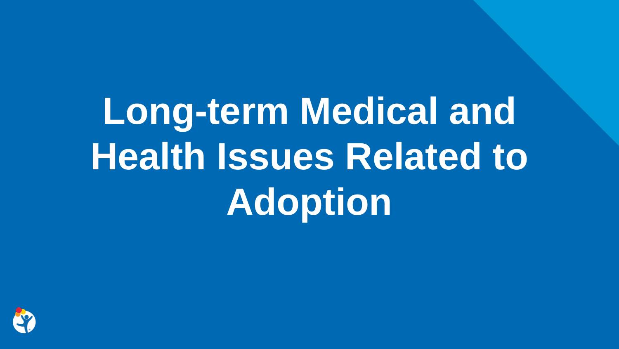# **Long-term Medical and Health Issues Related to Adoption**

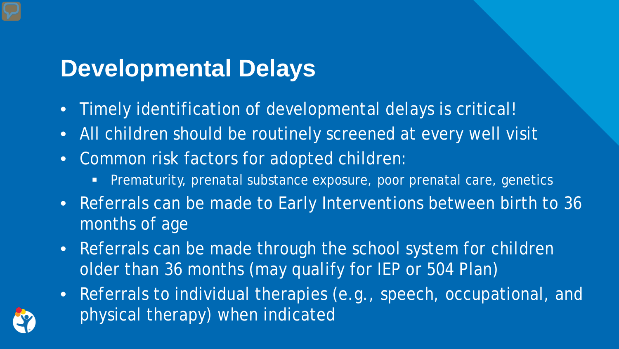#### **Developmental Delays**

- Timely identification of developmental delays is critical!
- All children should be routinely screened at every well visit
- Common risk factors for adopted children:
	- Prematurity, prenatal substance exposure, poor prenatal care, genetics
- Referrals can be made to Early Interventions between birth to 36 months of age
- Referrals can be made through the school system for children older than 36 months (may qualify for IEP or 504 Plan)
- Referrals to individual therapies (e.g., speech, occupational, and physical therapy) when indicated

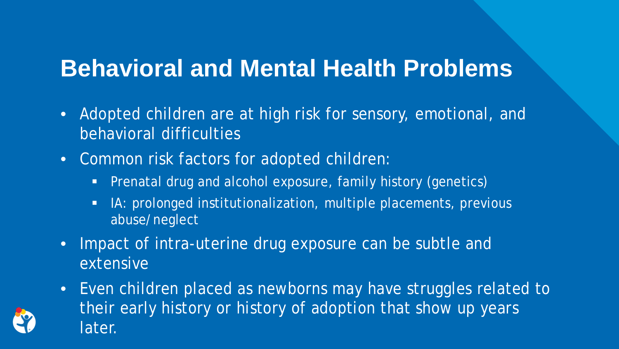#### **Behavioral and Mental Health Problems**

- Adopted children are at high risk for sensory, emotional, and behavioral difficulties
- Common risk factors for adopted children:
	- Prenatal drug and alcohol exposure, family history (genetics)
	- IA: prolonged institutionalization, multiple placements, previous abuse/neglect
- Impact of intra-uterine drug exposure can be subtle and extensive
- Even children placed as newborns may have struggles related to their early history or history of adoption that show up years later.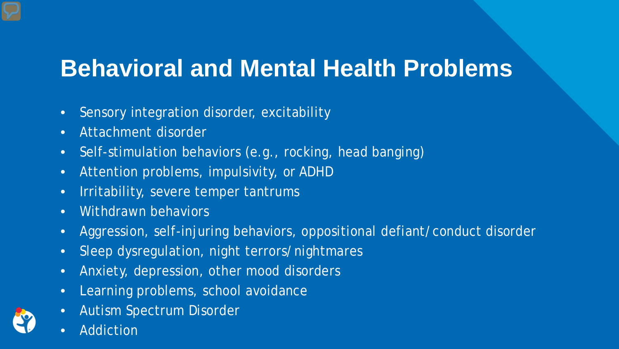#### **Behavioral and Mental Health Problems**

- Sensory integration disorder, excitability
- Attachment disorder
- Self-stimulation behaviors (e.g., rocking, head banging)
- Attention problems, impulsivity, or ADHD
- Irritability, severe temper tantrums
- Withdrawn behaviors
- Aggression, self-injuring behaviors, oppositional defiant/conduct disorder
- Sleep dysregulation, night terrors/nightmares
- Anxiety, depression, other mood disorders
- Learning problems, school avoidance
- Autism Spectrum Disorder
- Addiction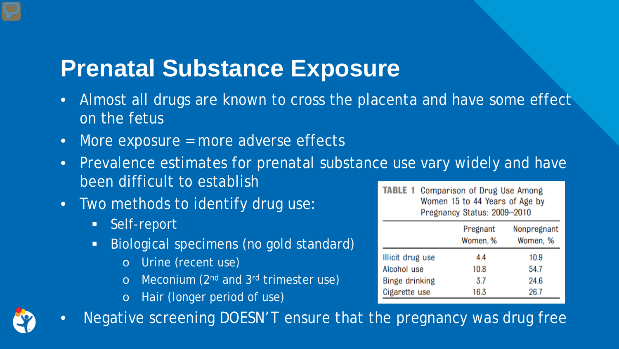#### **Prenatal Substance Exposure**

- Almost all drugs are known to cross the placenta and have some effect on the fetus
- More exposure = more adverse effects
- Prevalence estimates for prenatal substance use vary widely and have been difficult to establish
- Two methods to identify drug use:
	- Self-report
	- Biological specimens (no gold standard)
		- o Urine (recent use)
		- Meconium ( $2<sup>nd</sup>$  and  $3<sup>rd</sup>$  trimester use)
		- o Hair (longer period of use)

**TABLE 1** Comparison of Drug Use Among Women 15 to 44 Years of Age by Pregnancy Status: 2009-2010

|                       | Pregnant<br>Women, % | Nonpregnant<br>Women, % |  |
|-----------------------|----------------------|-------------------------|--|
| Illicit drug use      | 4.4                  | 10.9                    |  |
| Alcohol use           | 10.8                 | 54.7                    |  |
| <b>Binge drinking</b> | 3.7                  | 24.6                    |  |
| Cigarette use         | 16.3                 | 26.7                    |  |



• Negative screening DOESN'T ensure that the pregnancy was drug free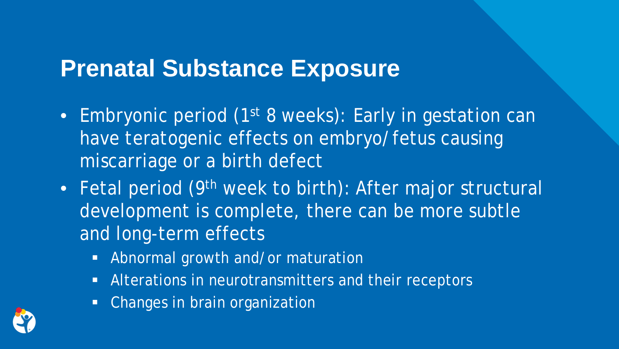#### **Prenatal Substance Exposure**

- Embryonic period (1<sup>st</sup> 8 weeks): Early in gestation can have teratogenic effects on embryo/fetus causing miscarriage or a birth defect
- Fetal period (9<sup>th</sup> week to birth): After major structural development is complete, there can be more subtle and long-term effects
	- Abnormal growth and/or maturation
	- **Alterations in neurotransmitters and their receptors**
	- Changes in brain organization

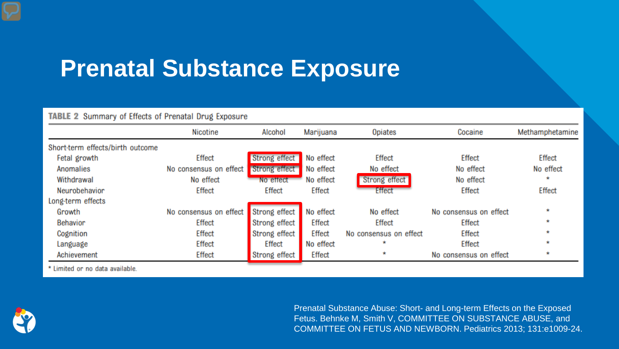#### **Prenatal Substance Exposure**

#### TABLE 2 Summary of Effects of Prenatal Drug Exposure

|                                  | Nicotine               | Alcohol       | Marijuana     | <b>Opiates</b>         | Cocaine                | Methamphetamine |
|----------------------------------|------------------------|---------------|---------------|------------------------|------------------------|-----------------|
| Short-term effects/birth outcome |                        |               |               |                        |                        |                 |
| Fetal growth                     | Effect                 | Strong effect | No effect     | Effect                 | Effect                 | <b>Effect</b>   |
| Anomalies                        | No consensus on effect | Strong effect | No effect     | No effect              | No effect              | No effect       |
| Withdrawal                       | No effect              | No effect     | No effect     | Strong effect          | No effect              | ÷               |
| Neurobehavior                    | Effect                 | Effect        | Effect        | <b>Effect</b>          | Effect                 | <b>Effect</b>   |
| Long-term effects                |                        |               |               |                        |                        |                 |
| Growth                           | No consensus on effect | Strong effect | No effect     | No effect              | No consensus on effect | ÷               |
| <b>Behavior</b>                  | <b>Effect</b>          | Strong effect | <b>Effect</b> | Effect                 | Effect                 | 大               |
| Cognition                        | Effect                 | Strong effect | Effect        | No consensus on effect | Effect                 | ÷               |
| Language                         | Effect                 | Effect        | No effect     | ÷                      | Effect                 |                 |
| Achievement                      | Effect                 | Strong effect | Effect        | $\star$                | No consensus on effect |                 |

\* Limited or no data available.

Prenatal Substance Abuse: Short- and Long-term Effects on the Exposed Fetus. Behnke M, Smith V, COMMITTEE ON SUBSTANCE ABUSE, and COMMITTEE ON FETUS AND NEWBORN. Pediatrics 2013; 131:e1009-24.

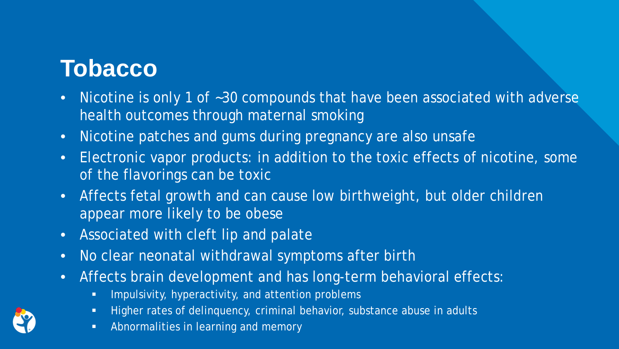#### **Tobacco**

- Nicotine is only 1 of ~30 compounds that have been associated with adverse health outcomes through maternal smoking
- Nicotine patches and gums during pregnancy are also unsafe
- Electronic vapor products: in addition to the toxic effects of nicotine, some of the flavorings can be toxic
- Affects fetal growth and can cause low birthweight, but older children appear more likely to be obese
- Associated with cleft lip and palate
- No clear neonatal withdrawal symptoms after birth
- Affects brain development and has long-term behavioral effects:
	- **IMPULS** Impulsivity, hyperactivity, and attention problems
	- Higher rates of delinquency, criminal behavior, substance abuse in adults
	- **Abnormalities in learning and memory**

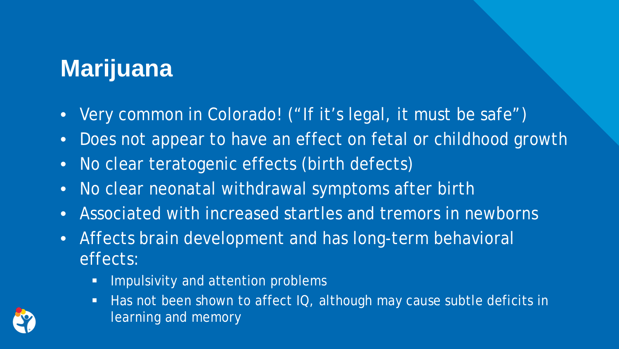## **Marijuana**

- Very common in Colorado! ("If it's legal, it must be safe")
- Does not appear to have an effect on fetal or childhood growth
- No clear teratogenic effects (birth defects)
- No clear neonatal withdrawal symptoms after birth
- Associated with increased startles and tremors in newborns
- Affects brain development and has long-term behavioral effects:
	- **IMPULSIVITY and attention problems**
	- Has not been shown to affect IQ, although may cause subtle deficits in learning and memory

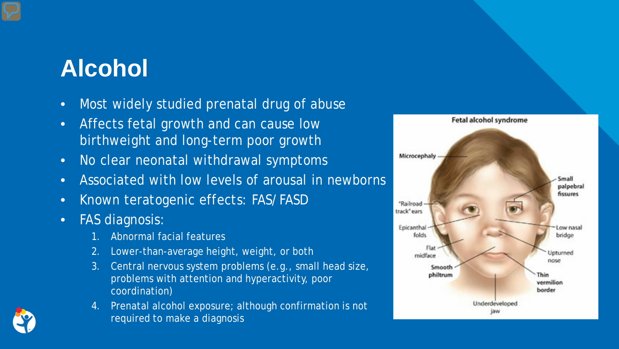#### **Alcohol**

- Most widely studied prenatal drug of abuse
- Affects fetal growth and can cause low birthweight and long-term poor growth
- No clear neonatal withdrawal symptoms
- Associated with low levels of arousal in newborns
- Known teratogenic effects: FAS/FASD
- FAS diagnosis:
	- 1. Abnormal facial features
	- 2. Lower-than-average height, weight, or both
	- 3. Central nervous system problems (e.g., small head size, problems with attention and hyperactivity, poor coordination)
	- 4. Prenatal alcohol exposure; although confirmation is not required to make a diagnosis



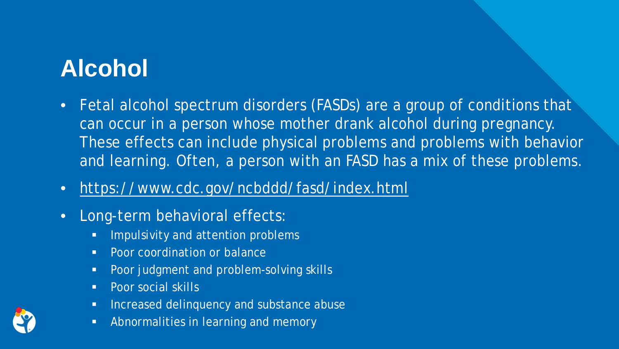## **Alcohol**

- Fetal alcohol spectrum disorders (FASDs) are a group of conditions that can occur in a person whose mother drank alcohol during pregnancy. These effects can include physical problems and problems with behavior and learning. Often, a person with an FASD has a mix of these problems.
- <https://www.cdc.gov/ncbddd/fasd/index.html>
- Long-term behavioral effects:
	- **IMPULSIVITY and attention problems**
	- **Poor coordination or balance**
	- **Poor judgment and problem-solving skills**
	- Poor social skills
	- **Increased delinquency and substance abuse**
	- **Abnormalities in learning and memory**

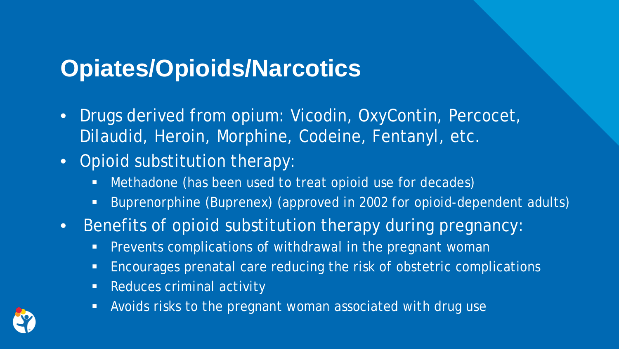#### **Opiates/Opioids/Narcotics**

- Drugs derived from opium: Vicodin, OxyContin, Percocet, Dilaudid, Heroin, Morphine, Codeine, Fentanyl, etc.
- Opioid substitution therapy:
	- Methadone (has been used to treat opioid use for decades)
	- Buprenorphine (Buprenex) (approved in 2002 for opioid-dependent adults)
- Benefits of opioid substitution therapy during pregnancy:
	- Prevents complications of withdrawal in the pregnant woman
	- Encourages prenatal care reducing the risk of obstetric complications
	- Reduces criminal activity
	- Avoids risks to the pregnant woman associated with drug use

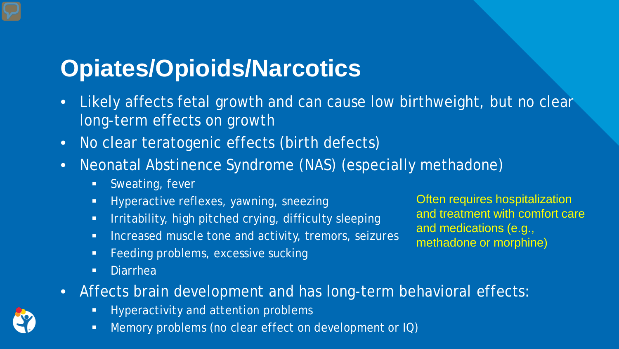#### **Opiates/Opioids/Narcotics**

- Likely affects fetal growth and can cause low birthweight, but no clear long-term effects on growth
- No clear teratogenic effects (birth defects)
- Neonatal Abstinence Syndrome (NAS) (especially methadone)
	- **Sweating, fever**
	- **Hyperactive reflexes, yawning, sneezing**
	- **EXEDENT:** Irritability, high pitched crying, difficulty sleeping
	- **Increased muscle tone and activity, tremors, seizures**
	- **Feeding problems, excessive sucking**
	- Diarrhea
- Affects brain development and has long-term behavioral effects:
	- **Hyperactivity and attention problems**
	- **Memory problems** (no clear effect on development or IQ)

Often requires hospitalization and treatment with comfort care and medications (e.g., methadone or morphine)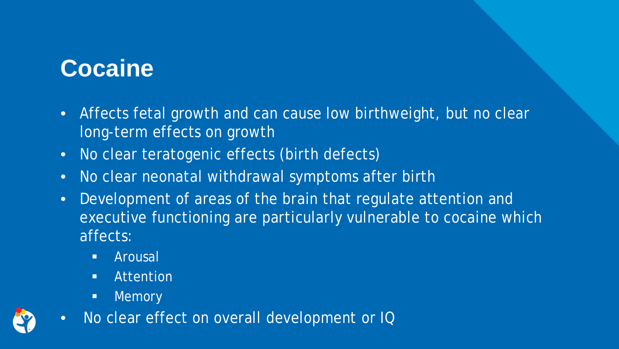#### **Cocaine**

- Affects fetal growth and can cause low birthweight, but no clear long-term effects on growth
- No clear teratogenic effects (birth defects)
- No clear neonatal withdrawal symptoms after birth
- Development of areas of the brain that regulate attention and executive functioning are particularly vulnerable to cocaine which affects:
	- **Arousal**
	- **Attention**
	- **•** Memory



• No clear effect on overall development or IQ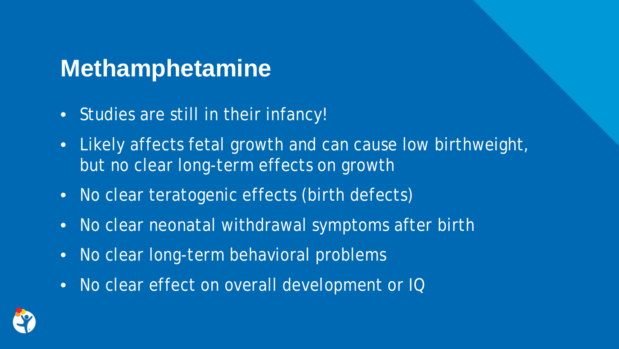#### **Methamphetamine**

- Studies are still in their infancy!
- Likely affects fetal growth and can cause low birthweight, but no clear long-term effects on growth
- No clear teratogenic effects (birth defects)
- No clear neonatal withdrawal symptoms after birth
- No clear long-term behavioral problems
- No clear effect on overall development or IQ

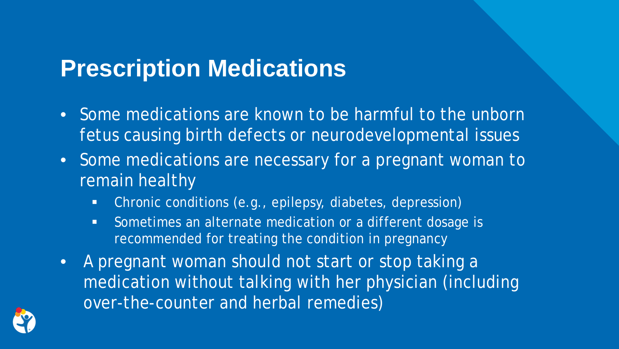#### **Prescription Medications**

- Some medications are known to be harmful to the unborn fetus causing birth defects or neurodevelopmental issues
- Some medications are necessary for a pregnant woman to remain healthy
	- Chronic conditions (e.g., epilepsy, diabetes, depression)
	- **Sometimes an alternate medication or a different dosage is** recommended for treating the condition in pregnancy
- A pregnant woman should not start or stop taking a medication without talking with her physician (including over-the-counter and herbal remedies)

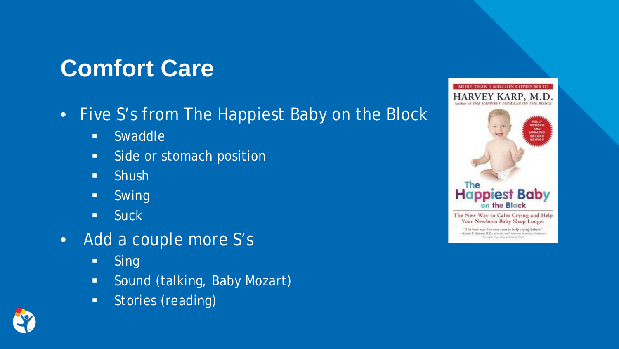#### **Comfort Care**

- Five S's from The Happiest Baby on the Block
	- **Swaddle**
	- Side or stomach position
	- **Shush**
	- **Swing**
	- $Suck$
- Add a couple more S's
	- **Sing**
	- **Sound (talking, Baby Mozart)**
	- **Stories (reading)**



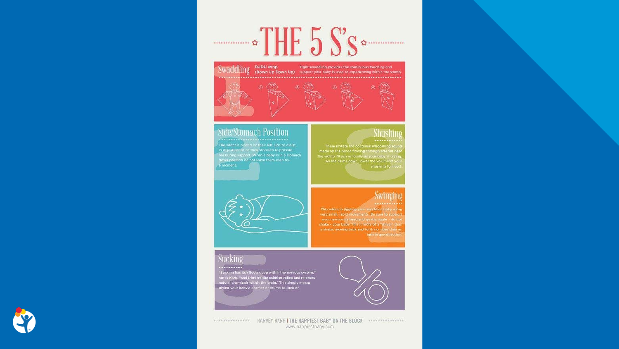# $-$  THE  $5 S$ s

 $\frac{\text{Swadelling}}{\text{Wadding}}$  DUDU wrap Tight swaddling provides the continuous touching and 



#### Shushin

These imitate the continual whooshing sou<br>made by the blood flowing through arteries no<br>the womb. Shush as loudly as your baby is cryl As she calms down, lower the volume of yo

#### Swingi

This refers to jiggiing your swaddled baby usin<br>very small, rapid movements. Be sure to suppo your newborn's head and gently jiggle - do no shake - your baby. This is more of a "shiver" the a shake, moving back and forth no more than a inch in any direct



#### Sucking . . . . . . . . . . .

Side/Stomach Position

.............................

a moment.

The Infant is placed on their left side to assist in digestion, or on their stomach to provide<br>reassuring support. When a baby is in a stomach down position do not leave them even for

Sucking has its effects deep within the nervous system," notes Karp, "and triggers the calming reflex and releases<br>natural chemicals within the brain." This simply means ving your baby a pacifier or thumb to suck on.

HARVEY KARP I THE HAPPIEST BABY ON THE BLOCK -----------------------------www.happiestbaby.com

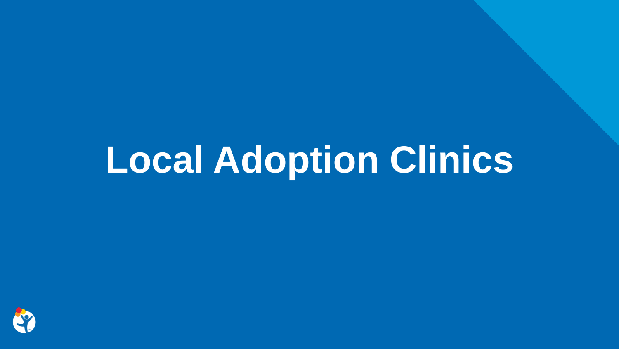# **Local Adoption Clinics**

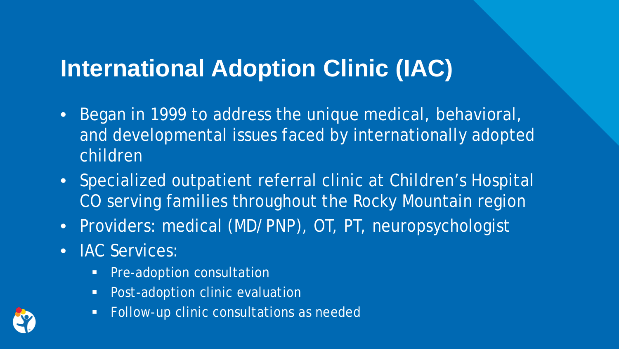#### **International Adoption Clinic (IAC)**

- Began in 1999 to address the unique medical, behavioral, and developmental issues faced by internationally adopted children
- Specialized outpatient referral clinic at Children's Hospital CO serving families throughout the Rocky Mountain region
- Providers: medical (MD/PNP), OT, PT, neuropsychologist
- IAC Services:
	- **Pre-adoption consultation**
	- **Post-adoption clinic evaluation**
	- **Follow-up clinic consultations as needed**

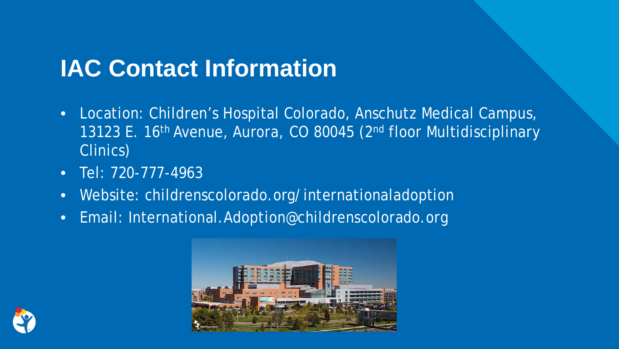#### **IAC Contact Information**

- Location: Children's Hospital Colorado, Anschutz Medical Campus, 13123 E. 16<sup>th</sup> Avenue, Aurora, CO 80045 (2<sup>nd</sup> floor Multidisciplinary Clinics)
- Tel: 720-777-4963
- Website: childrenscolorado.org/internationaladoption
- Email: International.Adoption@childrenscolorado.org



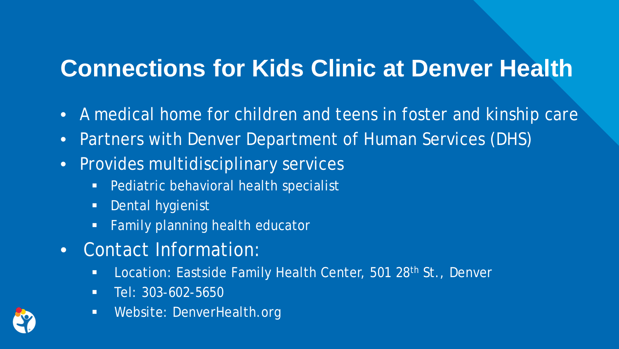### **Connections for Kids Clinic at Denver Health**

- A medical home for children and teens in foster and kinship care
- Partners with Denver Department of Human Services (DHS)
- Provides multidisciplinary services
	- **Pediatric behavioral health specialist**
	- **•** Dental hygienist
	- **Family planning health educator**
- Contact Information:
	- **Location: Eastside Family Health Center, 501 28th St., Denver**
	- **Tel: 303-602-5650**
	- **Website: DenverHealth.org**

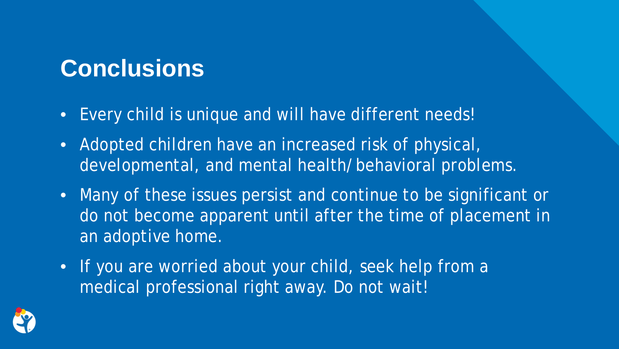#### **Conclusions**

- Every child is unique and will have different needs!
- Adopted children have an increased risk of physical, developmental, and mental health/behavioral problems.
- Many of these issues persist and continue to be significant or do not become apparent until after the time of placement in an adoptive home.
- If you are worried about your child, seek help from a medical professional right away. Do not wait!

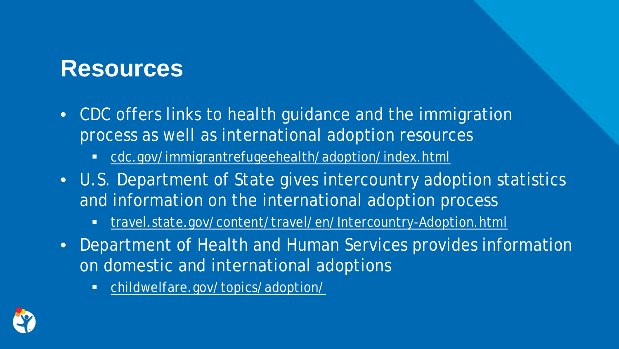#### **Resources**

- CDC offers links to health guidance and the immigration process as well as international adoption resources
	- [cdc.gov/immigrantrefugeehealth/adoption/index.html](https://www.cdc.gov/immigrantrefugeehealth/adoption/index.html)
- U.S. Department of State gives intercountry adoption statistics and information on the international adoption process
	- [travel.state.gov/content/travel/en/Intercountry-Adoption.html](https://travel.state.gov/content/travel/en/Intercountry-Adoption.html)
- Department of Health and Human Services provides information on domestic and international adoptions
	- [childwelfare.gov/topics/adoption/](https://www.childwelfare.gov/topics/adoption/)

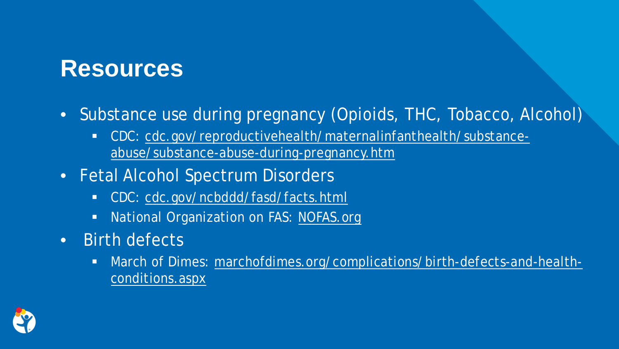#### **Resources**

- Substance use during pregnancy (Opioids, THC, Tobacco, Alcohol)
	- [CDC: cdc.gov/reproductivehealth/maternalinfanthealth/substance](https://www.cdc.gov/reproductivehealth/maternalinfanthealth/substance-abuse/substance-abuse-during-pregnancy.htm)abuse/substance-abuse-during-pregnancy.htm
- Fetal Alcohol Spectrum Disorders
	- CDC: [cdc.gov/ncbddd/fasd/facts.html](https://www.cdc.gov/ncbddd/fasd/facts.html)
	- **National Organization on FAS: [NOFAS.org](http://www.nofas.org/)**
- Birth defects
	- [March of Dimes: marchofdimes.org/complications/birth-defects-and-health](https://www.marchofdimes.org/complications/birth-defects-and-health-conditions.aspx)conditions.aspx

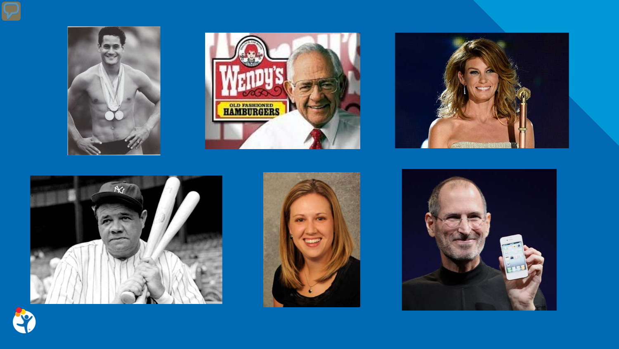











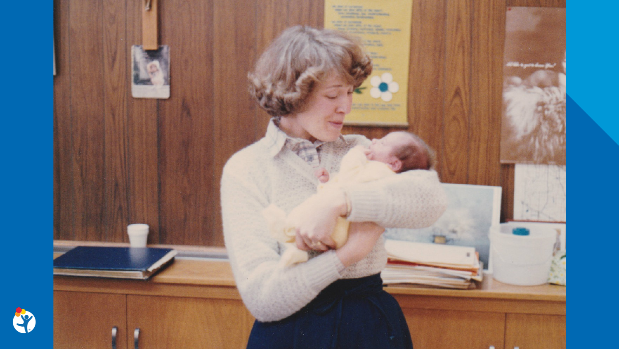